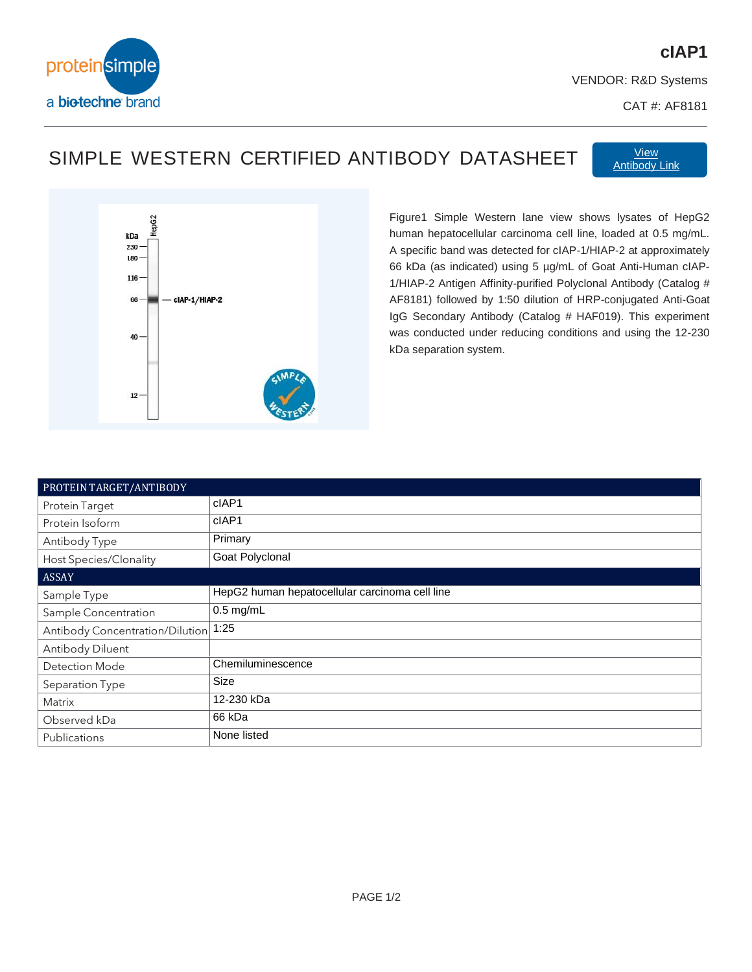

## **cIAP1**

VENDOR: R&D Systems

CAT #: AF8181

## SIMPLE WESTERN CERTIFIED ANTIBODY DATASHEET Martingdy

[Antibody Link](https://www.bio-techne.com/p/antibodies/human-ciap-1-hiap-2-antibody_af8181)



Figure1 Simple Western lane view shows lysates of HepG2 human hepatocellular carcinoma cell line, loaded at 0.5 mg/mL. A specific band was detected for cIAP-1/HIAP-2 at approximately 66 kDa (as indicated) using 5 µg/mL of Goat Anti-Human cIAP-1/HIAP-2 Antigen Affinity-purified Polyclonal Antibody (Catalog # AF8181) followed by 1:50 dilution of HRP-conjugated Anti-Goat IgG Secondary Antibody (Catalog # HAF019). This experiment was conducted under reducing conditions and using the 12-230 kDa separation system.

| PROTEIN TARGET/ANTIBODY         |                                                |
|---------------------------------|------------------------------------------------|
| Protein Target                  | cIAP1                                          |
| Protein Isoform                 | cIAP1                                          |
| Antibody Type                   | Primary                                        |
| <b>Host Species/Clonality</b>   | Goat Polyclonal                                |
| <b>ASSAY</b>                    |                                                |
| Sample Type                     | HepG2 human hepatocellular carcinoma cell line |
| Sample Concentration            | $0.5$ mg/mL                                    |
| Antibody Concentration/Dilution | 1:25                                           |
| Antibody Diluent                |                                                |
| <b>Detection Mode</b>           | Chemiluminescence                              |
| Separation Type                 | Size                                           |
| Matrix                          | 12-230 kDa                                     |
| Observed kDa                    | 66 kDa                                         |
| Publications                    | None listed                                    |